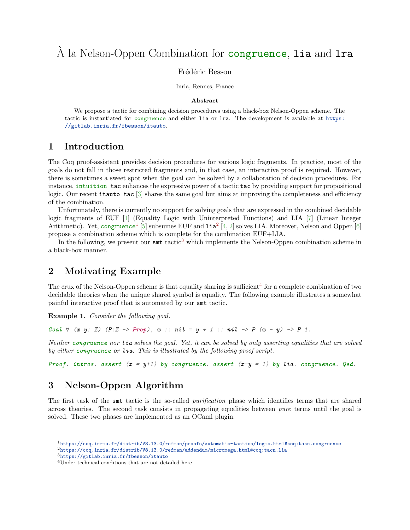# A la Nelson-Oppen Combination for congruence, lia and lra

#### Frédéric Besson

Inria, Rennes, France

#### Abstract

We propose a tactic for combining decision procedures using a black-box Nelson-Oppen scheme. The tactic is instantiated for congruence and either lia or lra. The development is available at [https:](https://gitlab.inria.fr/fbesson/itauto) [//gitlab.inria.fr/fbesson/itauto](https://gitlab.inria.fr/fbesson/itauto).

### 1 Introduction

The Coq proof-assistant provides decision procedures for various logic fragments. In practice, most of the goals do not fall in those restricted fragments and, in that case, an interactive proof is required. However, there is sometimes a sweet spot when the goal can be solved by a collaboration of decision procedures. For instance, intuition tac enhances the expressive power of a tactic tac by providing support for propositional logic. Our recent itauto tac [\[3\]](#page-1-0) shares the same goal but aims at improving the completeness and efficiency of the combination.

Unfortunately, there is currently no support for solving goals that are expressed in the combined decidable logic fragments of EUF [\[1\]](#page-1-1) (Equality Logic with Uninterpreted Functions) and LIA [\[7\]](#page-1-2) (Linear Integer Arithmetic). Yet, congruence<sup>[1](#page-0-0)</sup> [\[5\]](#page-1-3) subsumes EUF and  $1$ ia<sup>[2](#page-0-1)</sup> [\[4,](#page-1-4) [2\]](#page-1-5) solves LIA. Moreover, Nelson and Oppen [\[6\]](#page-1-6) propose a combination scheme which is complete for the combination EUF+LIA.

In the following, we present our smt tactic<sup>[3](#page-0-2)</sup> which implements the Nelson-Oppen combination scheme in a black-box manner.

#### 2 Motivating Example

The crux of the Nelson-Oppen scheme is that equality sharing is sufficient<sup>[4](#page-0-3)</sup> for a complete combination of two decidable theories when the unique shared symbol is equality. The following example illustrates a somewhat painful interactive proof that is automated by our smt tactic.

<span id="page-0-4"></span>Example 1. Consider the following goal.

Goal  $\forall$  (x y: Z) (P:Z -> Prop), x :: nil = y + 1 :: nil -> P (x - y) -> P 1.

Neither congruence nor lia solves the goal. Yet, it can be solved by only asserting equalities that are solved by either congruence or lia. This is illustrated by the following proof script.

Proof. intros. assert  $(x = y+1)$  by congruence. assert  $(x-y = 1)$  by lia. congruence. Qed.

## 3 Nelson-Oppen Algorithm

The first task of the smt tactic is the so-called *purification* phase which identifies terms that are shared across theories. The second task consists in propagating equalities between pure terms until the goal is solved. These two phases are implemented as an OCaml plugin.

<span id="page-0-0"></span><sup>1</sup><https://coq.inria.fr/distrib/V8.13.0/refman/proofs/automatic-tactics/logic.html#coq:tacn.congruence>

<span id="page-0-1"></span><sup>2</sup><https://coq.inria.fr/distrib/V8.13.0/refman/addendum/micromega.html#coq:tacn.lia>

<span id="page-0-2"></span><sup>3</sup><https://gitlab.inria.fr/fbesson/itauto>

<span id="page-0-3"></span><sup>4</sup>Under technical conditions that are not detailed here